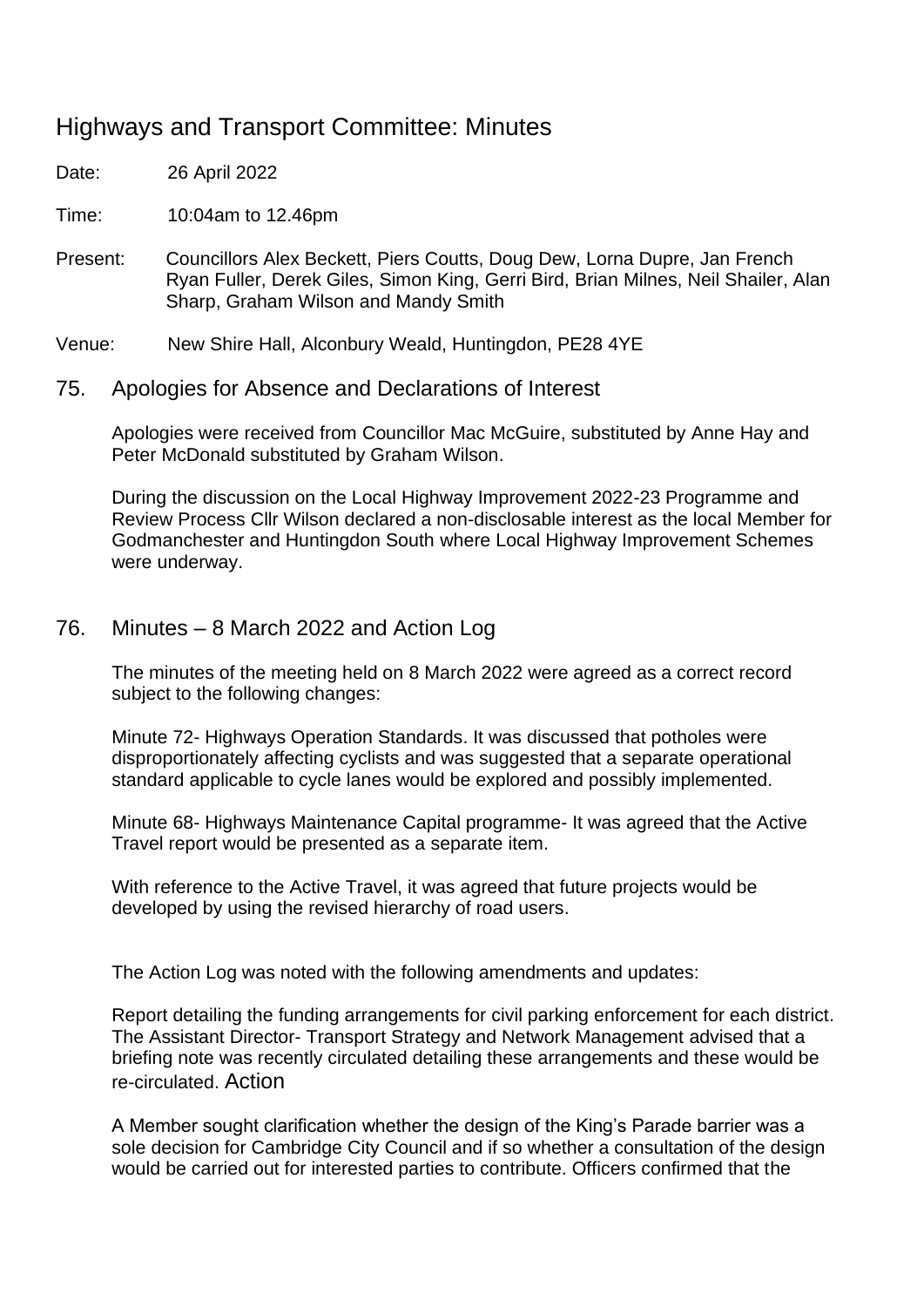# Highways and Transport Committee: Minutes

Date: 26 April 2022

Time: 10:04am to 12.46pm

Present: Councillors Alex Beckett, Piers Coutts, Doug Dew, Lorna Dupre, Jan French Ryan Fuller, Derek Giles, Simon King, Gerri Bird, Brian Milnes, Neil Shailer, Alan Sharp, Graham Wilson and Mandy Smith

Venue: New Shire Hall, Alconbury Weald, Huntingdon, PE28 4YE

75. Apologies for Absence and Declarations of Interest

Apologies were received from Councillor Mac McGuire, substituted by Anne Hay and Peter McDonald substituted by Graham Wilson.

During the discussion on the Local Highway Improvement 2022-23 Programme and Review Process Cllr Wilson declared a non-disclosable interest as the local Member for Godmanchester and Huntingdon South where Local Highway Improvement Schemes were underway.

## 76. Minutes – 8 March 2022 and Action Log

The minutes of the meeting held on 8 March 2022 were agreed as a correct record subject to the following changes:

Minute 72- Highways Operation Standards. It was discussed that potholes were disproportionately affecting cyclists and was suggested that a separate operational standard applicable to cycle lanes would be explored and possibly implemented.

Minute 68- Highways Maintenance Capital programme- It was agreed that the Active Travel report would be presented as a separate item.

With reference to the Active Travel, it was agreed that future projects would be developed by using the revised hierarchy of road users.

The Action Log was noted with the following amendments and updates:

Report detailing the funding arrangements for civil parking enforcement for each district. The Assistant Director- Transport Strategy and Network Management advised that a briefing note was recently circulated detailing these arrangements and these would be re-circulated. Action

A Member sought clarification whether the design of the King's Parade barrier was a sole decision for Cambridge City Council and if so whether a consultation of the design would be carried out for interested parties to contribute. Officers confirmed that the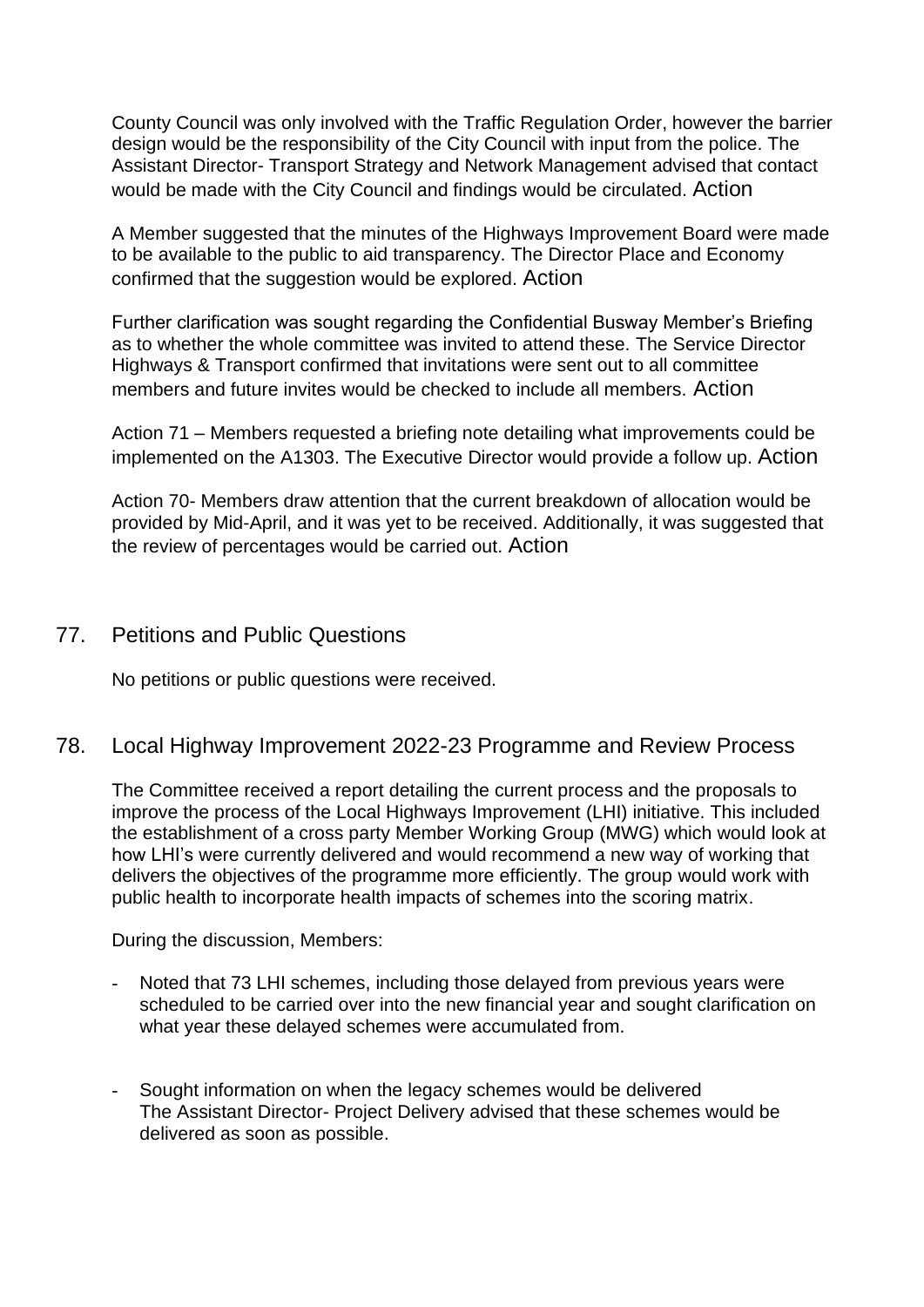County Council was only involved with the Traffic Regulation Order, however the barrier design would be the responsibility of the City Council with input from the police. The Assistant Director- Transport Strategy and Network Management advised that contact would be made with the City Council and findings would be circulated. Action

A Member suggested that the minutes of the Highways Improvement Board were made to be available to the public to aid transparency. The Director Place and Economy confirmed that the suggestion would be explored. Action

Further clarification was sought regarding the Confidential Busway Member's Briefing as to whether the whole committee was invited to attend these. The Service Director Highways & Transport confirmed that invitations were sent out to all committee members and future invites would be checked to include all members. Action

Action 71 – Members requested a briefing note detailing what improvements could be implemented on the A1303. The Executive Director would provide a follow up. Action

Action 70- Members draw attention that the current breakdown of allocation would be provided by Mid-April, and it was yet to be received. Additionally, it was suggested that the review of percentages would be carried out. Action

## 77. Petitions and Public Questions

No petitions or public questions were received.

## 78. Local Highway Improvement 2022-23 Programme and Review Process

The Committee received a report detailing the current process and the proposals to improve the process of the Local Highways Improvement (LHI) initiative. This included the establishment of a cross party Member Working Group (MWG) which would look at how LHI's were currently delivered and would recommend a new way of working that delivers the objectives of the programme more efficiently. The group would work with public health to incorporate health impacts of schemes into the scoring matrix.

During the discussion, Members:

- Noted that 73 LHI schemes, including those delayed from previous years were scheduled to be carried over into the new financial year and sought clarification on what year these delayed schemes were accumulated from.
- Sought information on when the legacy schemes would be delivered The Assistant Director- Project Delivery advised that these schemes would be delivered as soon as possible.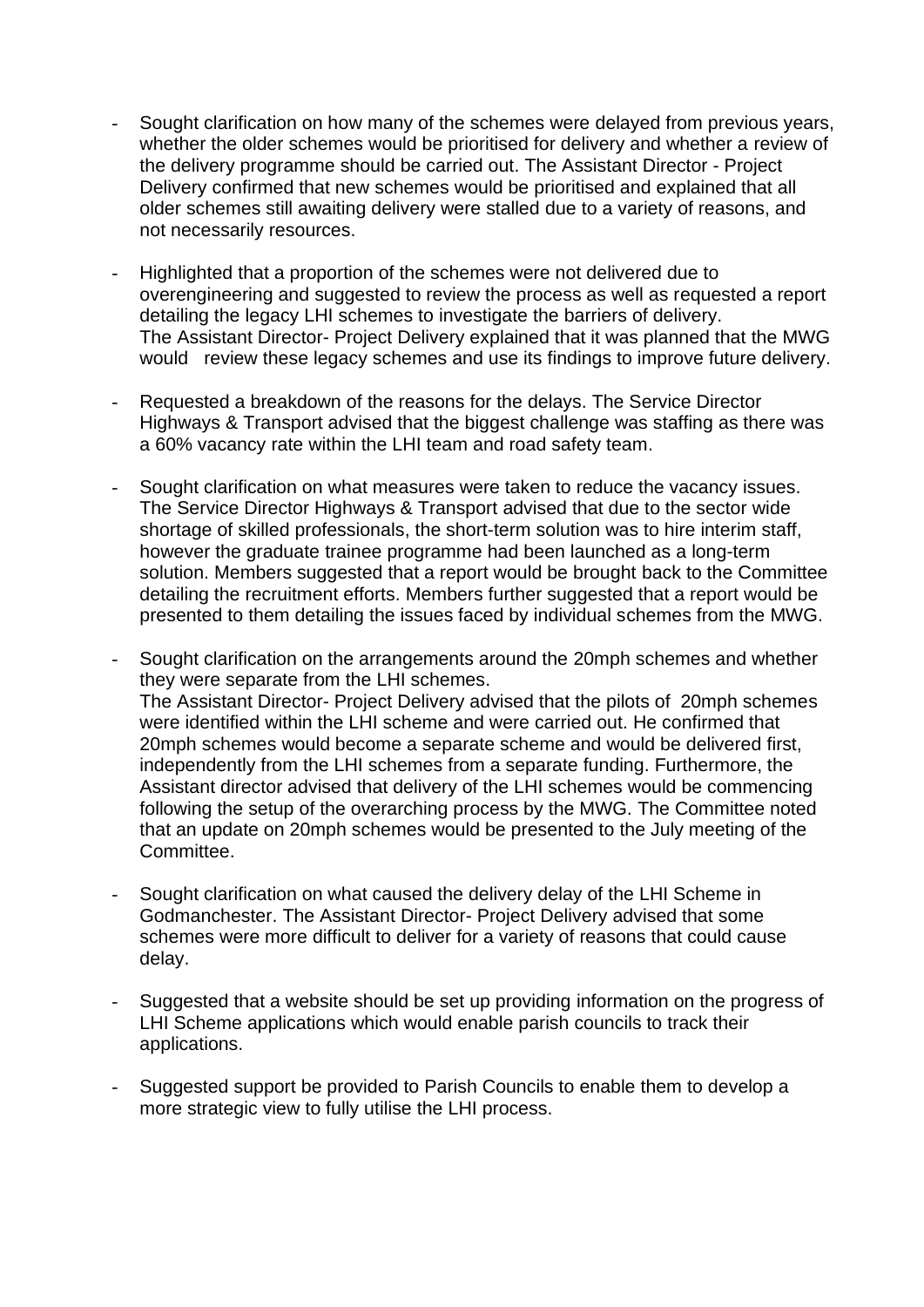- Sought clarification on how many of the schemes were delayed from previous years, whether the older schemes would be prioritised for delivery and whether a review of the delivery programme should be carried out. The Assistant Director - Project Delivery confirmed that new schemes would be prioritised and explained that all older schemes still awaiting delivery were stalled due to a variety of reasons, and not necessarily resources.
- Highlighted that a proportion of the schemes were not delivered due to overengineering and suggested to review the process as well as requested a report detailing the legacy LHI schemes to investigate the barriers of delivery. The Assistant Director- Project Delivery explained that it was planned that the MWG would review these legacy schemes and use its findings to improve future delivery.
- Requested a breakdown of the reasons for the delays. The Service Director Highways & Transport advised that the biggest challenge was staffing as there was a 60% vacancy rate within the LHI team and road safety team.
- Sought clarification on what measures were taken to reduce the vacancy issues. The Service Director Highways & Transport advised that due to the sector wide shortage of skilled professionals, the short-term solution was to hire interim staff, however the graduate trainee programme had been launched as a long-term solution. Members suggested that a report would be brought back to the Committee detailing the recruitment efforts. Members further suggested that a report would be presented to them detailing the issues faced by individual schemes from the MWG.
- Sought clarification on the arrangements around the 20mph schemes and whether they were separate from the LHI schemes. The Assistant Director- Project Delivery advised that the pilots of 20mph schemes were identified within the LHI scheme and were carried out. He confirmed that 20mph schemes would become a separate scheme and would be delivered first, independently from the LHI schemes from a separate funding. Furthermore, the Assistant director advised that delivery of the LHI schemes would be commencing following the setup of the overarching process by the MWG. The Committee noted that an update on 20mph schemes would be presented to the July meeting of the Committee.
- Sought clarification on what caused the delivery delay of the LHI Scheme in Godmanchester. The Assistant Director- Project Delivery advised that some schemes were more difficult to deliver for a variety of reasons that could cause delay.
- Suggested that a website should be set up providing information on the progress of LHI Scheme applications which would enable parish councils to track their applications.
- Suggested support be provided to Parish Councils to enable them to develop a more strategic view to fully utilise the LHI process.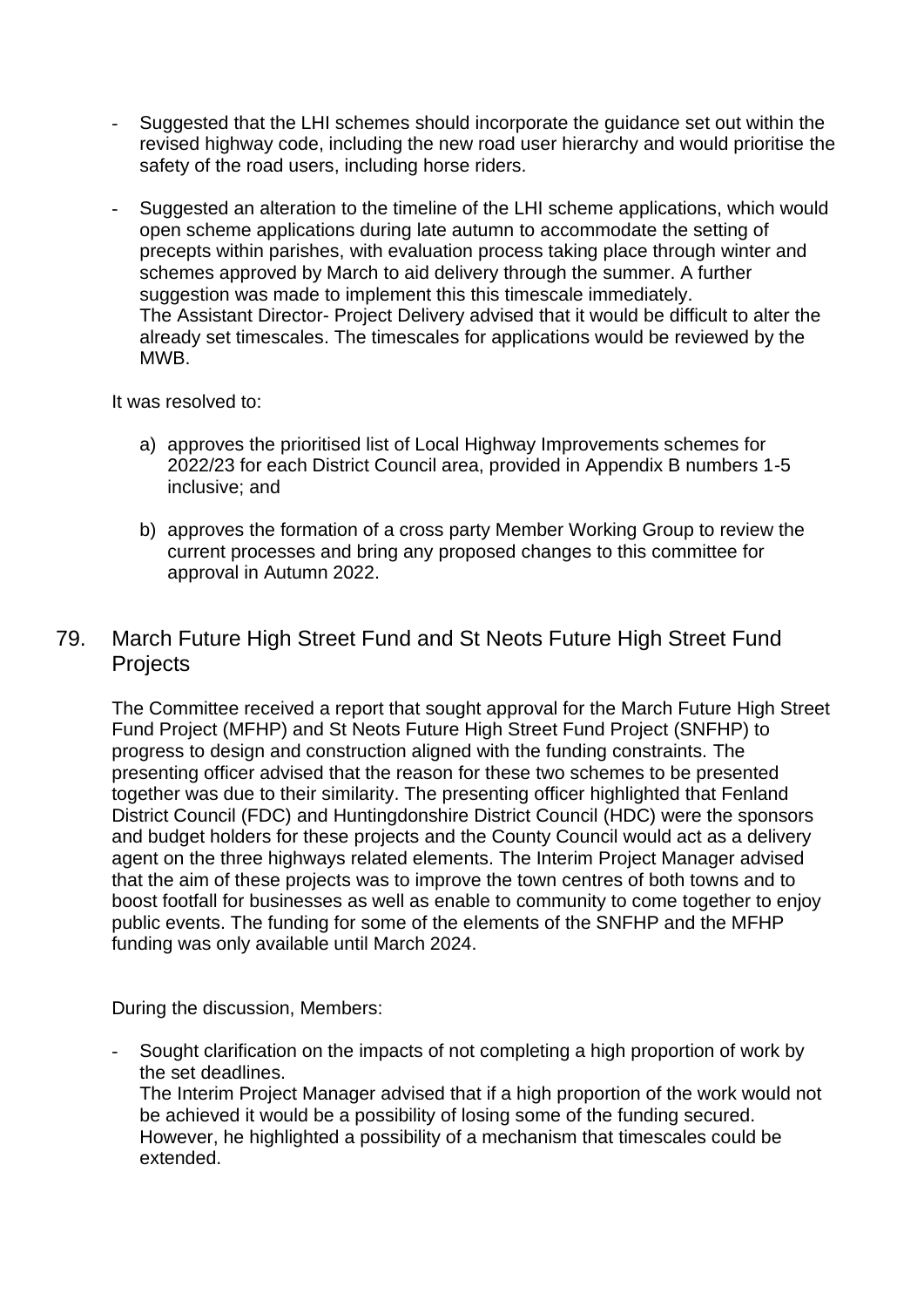- Suggested that the LHI schemes should incorporate the guidance set out within the revised highway code, including the new road user hierarchy and would prioritise the safety of the road users, including horse riders.
- Suggested an alteration to the timeline of the LHI scheme applications, which would open scheme applications during late autumn to accommodate the setting of precepts within parishes, with evaluation process taking place through winter and schemes approved by March to aid delivery through the summer. A further suggestion was made to implement this this timescale immediately. The Assistant Director- Project Delivery advised that it would be difficult to alter the already set timescales. The timescales for applications would be reviewed by the MWB.

It was resolved to:

- a) approves the prioritised list of Local Highway Improvements schemes for 2022/23 for each District Council area, provided in Appendix B numbers 1-5 inclusive; and
- b) approves the formation of a cross party Member Working Group to review the current processes and bring any proposed changes to this committee for approval in Autumn 2022.

## 79. March Future High Street Fund and St Neots Future High Street Fund **Projects**

The Committee received a report that sought approval for the March Future High Street Fund Project (MFHP) and St Neots Future High Street Fund Project (SNFHP) to progress to design and construction aligned with the funding constraints. The presenting officer advised that the reason for these two schemes to be presented together was due to their similarity. The presenting officer highlighted that Fenland District Council (FDC) and Huntingdonshire District Council (HDC) were the sponsors and budget holders for these projects and the County Council would act as a delivery agent on the three highways related elements. The Interim Project Manager advised that the aim of these projects was to improve the town centres of both towns and to boost footfall for businesses as well as enable to community to come together to enjoy public events. The funding for some of the elements of the SNFHP and the MFHP funding was only available until March 2024.

During the discussion, Members:

- Sought clarification on the impacts of not completing a high proportion of work by the set deadlines.

The Interim Project Manager advised that if a high proportion of the work would not be achieved it would be a possibility of losing some of the funding secured. However, he highlighted a possibility of a mechanism that timescales could be extended.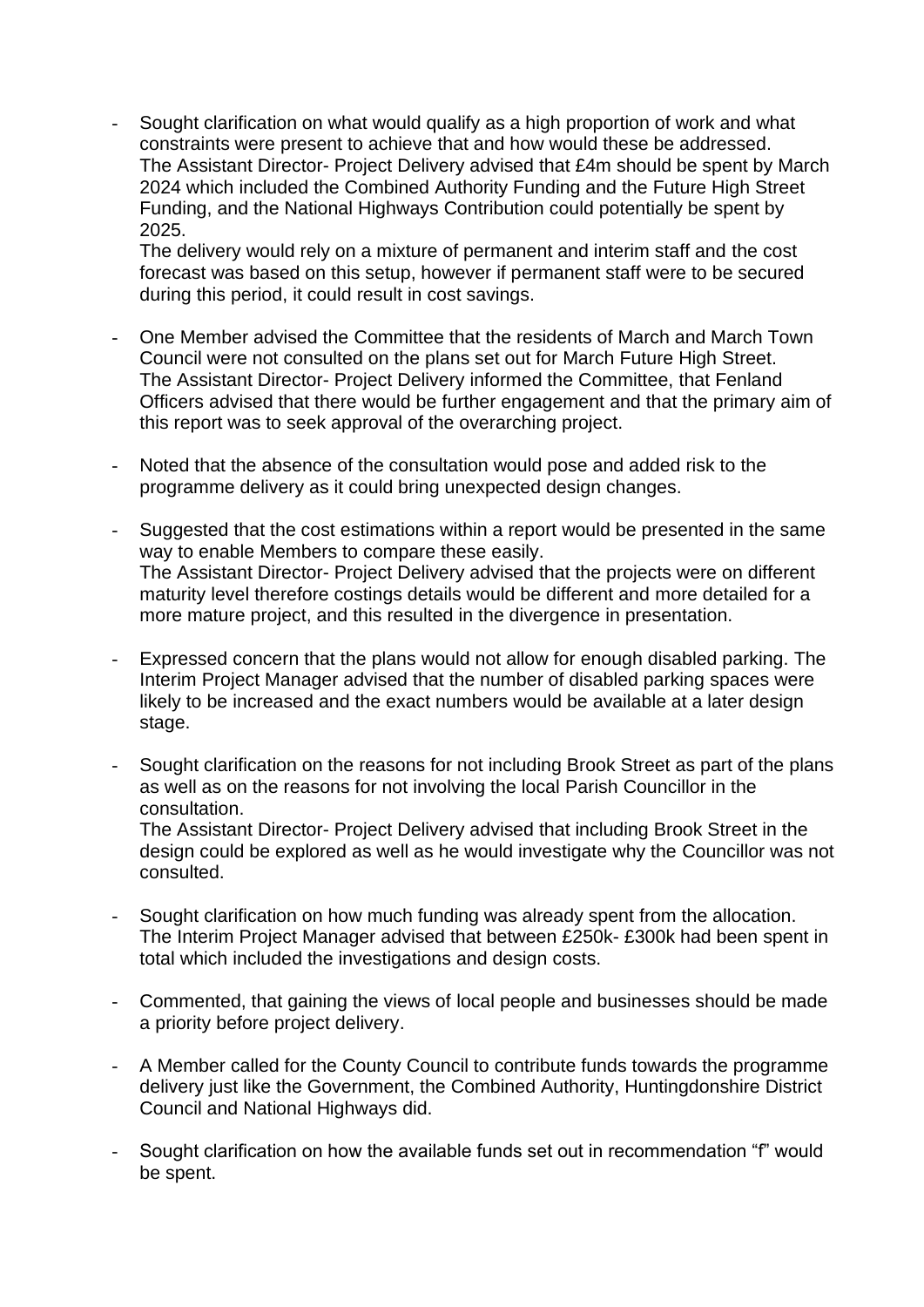Sought clarification on what would qualify as a high proportion of work and what constraints were present to achieve that and how would these be addressed. The Assistant Director- Project Delivery advised that £4m should be spent by March 2024 which included the Combined Authority Funding and the Future High Street Funding, and the National Highways Contribution could potentially be spent by 2025.

The delivery would rely on a mixture of permanent and interim staff and the cost forecast was based on this setup, however if permanent staff were to be secured during this period, it could result in cost savings.

- One Member advised the Committee that the residents of March and March Town Council were not consulted on the plans set out for March Future High Street. The Assistant Director- Project Delivery informed the Committee, that Fenland Officers advised that there would be further engagement and that the primary aim of this report was to seek approval of the overarching project.
- Noted that the absence of the consultation would pose and added risk to the programme delivery as it could bring unexpected design changes.
- Suggested that the cost estimations within a report would be presented in the same way to enable Members to compare these easily. The Assistant Director- Project Delivery advised that the projects were on different maturity level therefore costings details would be different and more detailed for a more mature project, and this resulted in the divergence in presentation.
- Expressed concern that the plans would not allow for enough disabled parking. The Interim Project Manager advised that the number of disabled parking spaces were likely to be increased and the exact numbers would be available at a later design stage.
- Sought clarification on the reasons for not including Brook Street as part of the plans as well as on the reasons for not involving the local Parish Councillor in the consultation. The Assistant Director- Project Delivery advised that including Brook Street in the

design could be explored as well as he would investigate why the Councillor was not consulted.

- Sought clarification on how much funding was already spent from the allocation. The Interim Project Manager advised that between £250k- £300k had been spent in total which included the investigations and design costs.
- Commented, that gaining the views of local people and businesses should be made a priority before project delivery.
- A Member called for the County Council to contribute funds towards the programme delivery just like the Government, the Combined Authority, Huntingdonshire District Council and National Highways did.
- Sought clarification on how the available funds set out in recommendation "f" would be spent.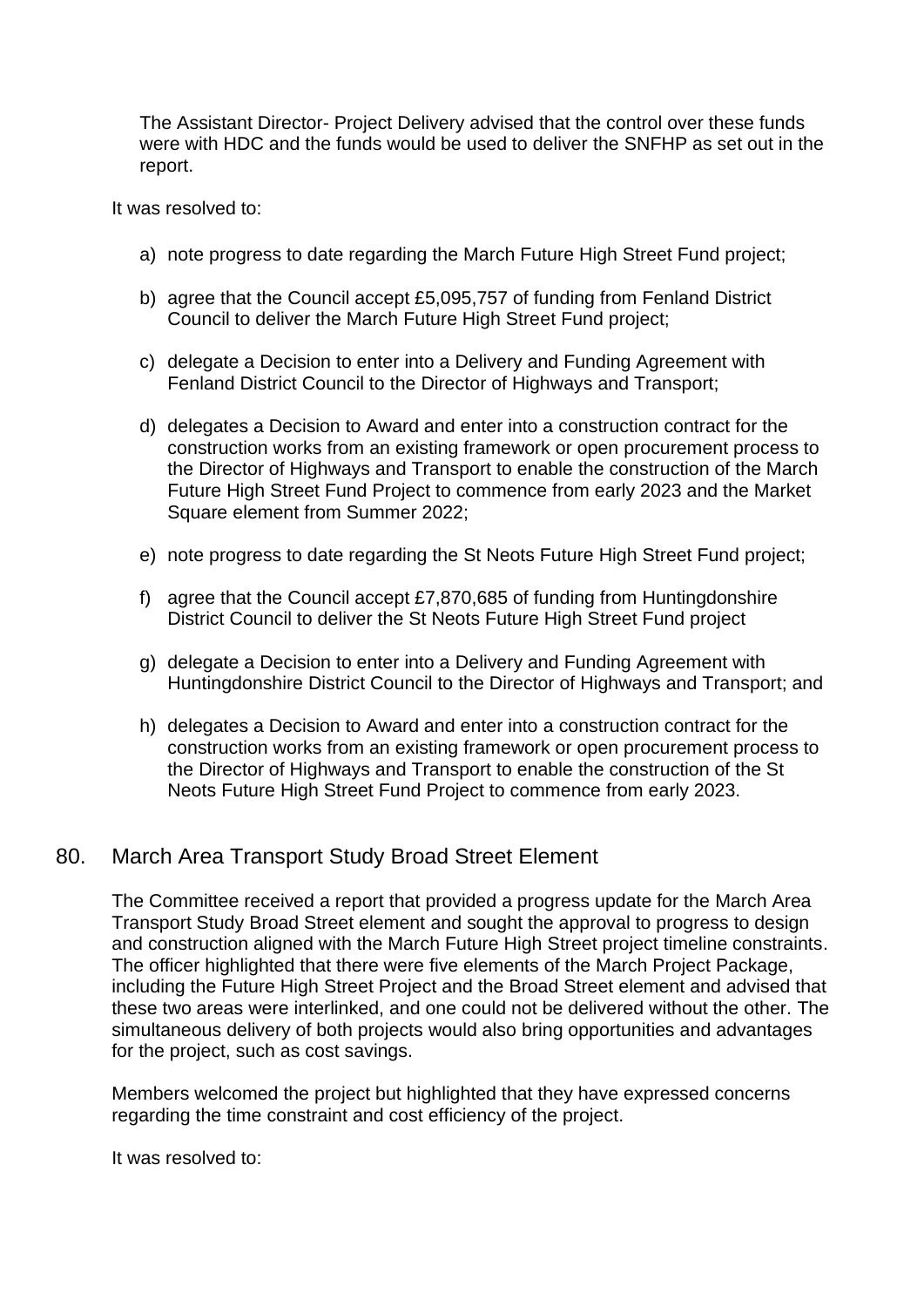The Assistant Director- Project Delivery advised that the control over these funds were with HDC and the funds would be used to deliver the SNFHP as set out in the report.

It was resolved to:

- a) note progress to date regarding the March Future High Street Fund project;
- b) agree that the Council accept £5,095,757 of funding from Fenland District Council to deliver the March Future High Street Fund project;
- c) delegate a Decision to enter into a Delivery and Funding Agreement with Fenland District Council to the Director of Highways and Transport;
- d) delegates a Decision to Award and enter into a construction contract for the construction works from an existing framework or open procurement process to the Director of Highways and Transport to enable the construction of the March Future High Street Fund Project to commence from early 2023 and the Market Square element from Summer 2022;
- e) note progress to date regarding the St Neots Future High Street Fund project;
- f) agree that the Council accept £7,870,685 of funding from Huntingdonshire District Council to deliver the St Neots Future High Street Fund project
- g) delegate a Decision to enter into a Delivery and Funding Agreement with Huntingdonshire District Council to the Director of Highways and Transport; and
- h) delegates a Decision to Award and enter into a construction contract for the construction works from an existing framework or open procurement process to the Director of Highways and Transport to enable the construction of the St Neots Future High Street Fund Project to commence from early 2023.

#### 80. March Area Transport Study Broad Street Element

The Committee received a report that provided a progress update for the March Area Transport Study Broad Street element and sought the approval to progress to design and construction aligned with the March Future High Street project timeline constraints. The officer highlighted that there were five elements of the March Project Package, including the Future High Street Project and the Broad Street element and advised that these two areas were interlinked, and one could not be delivered without the other. The simultaneous delivery of both projects would also bring opportunities and advantages for the project, such as cost savings.

Members welcomed the project but highlighted that they have expressed concerns regarding the time constraint and cost efficiency of the project.

It was resolved to: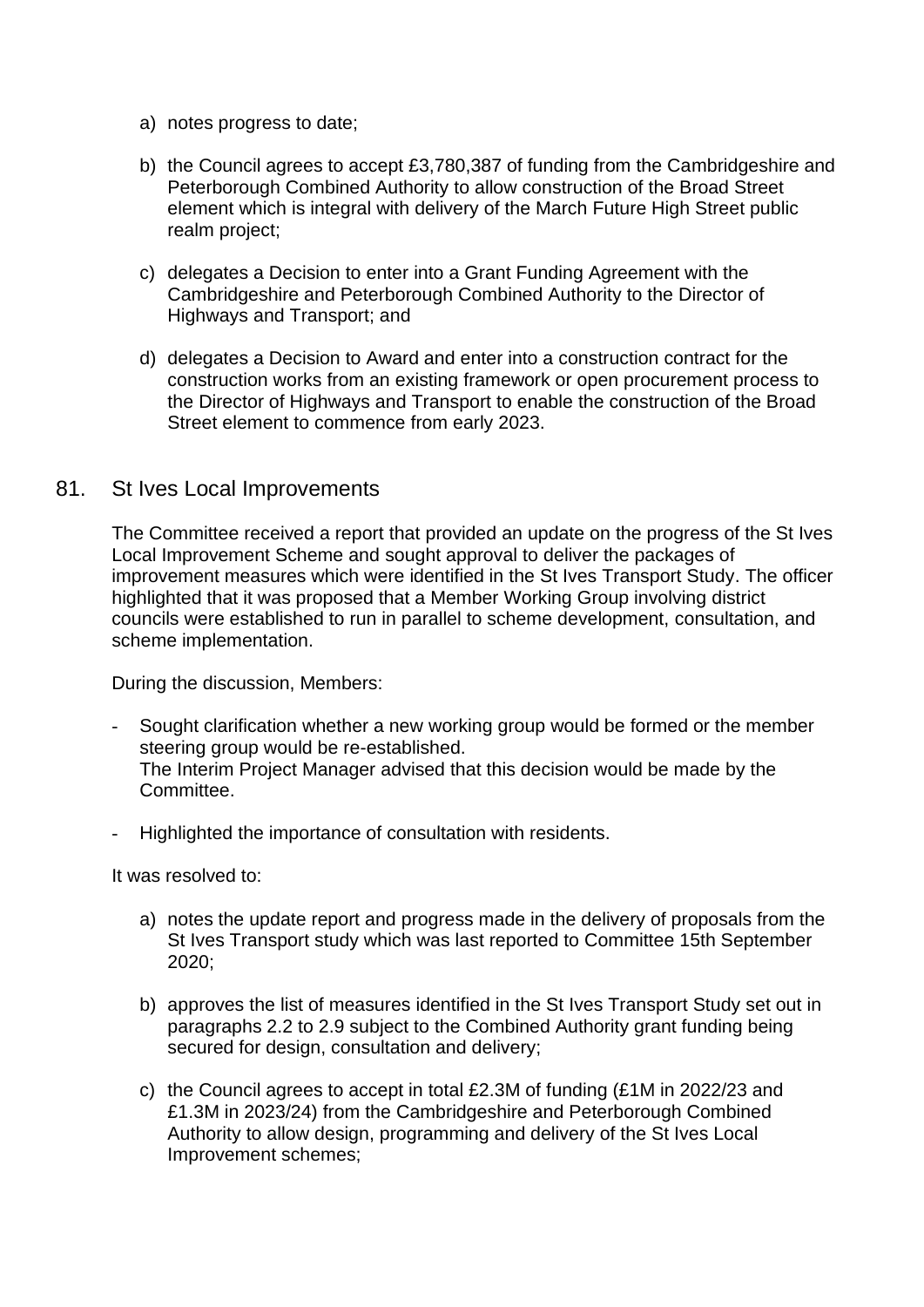- a) notes progress to date;
- b) the Council agrees to accept £3,780,387 of funding from the Cambridgeshire and Peterborough Combined Authority to allow construction of the Broad Street element which is integral with delivery of the March Future High Street public realm project;
- c) delegates a Decision to enter into a Grant Funding Agreement with the Cambridgeshire and Peterborough Combined Authority to the Director of Highways and Transport; and
- d) delegates a Decision to Award and enter into a construction contract for the construction works from an existing framework or open procurement process to the Director of Highways and Transport to enable the construction of the Broad Street element to commence from early 2023.

#### 81. St Ives Local Improvements

The Committee received a report that provided an update on the progress of the St Ives Local Improvement Scheme and sought approval to deliver the packages of improvement measures which were identified in the St Ives Transport Study. The officer highlighted that it was proposed that a Member Working Group involving district councils were established to run in parallel to scheme development, consultation, and scheme implementation.

During the discussion, Members:

- Sought clarification whether a new working group would be formed or the member steering group would be re-established. The Interim Project Manager advised that this decision would be made by the Committee.
- Highlighted the importance of consultation with residents.

It was resolved to:

- a) notes the update report and progress made in the delivery of proposals from the St Ives Transport study which was last reported to Committee 15th September 2020;
- b) approves the list of measures identified in the St Ives Transport Study set out in paragraphs 2.2 to 2.9 subject to the Combined Authority grant funding being secured for design, consultation and delivery;
- c) the Council agrees to accept in total £2.3M of funding (£1M in 2022/23 and £1.3M in 2023/24) from the Cambridgeshire and Peterborough Combined Authority to allow design, programming and delivery of the St Ives Local Improvement schemes;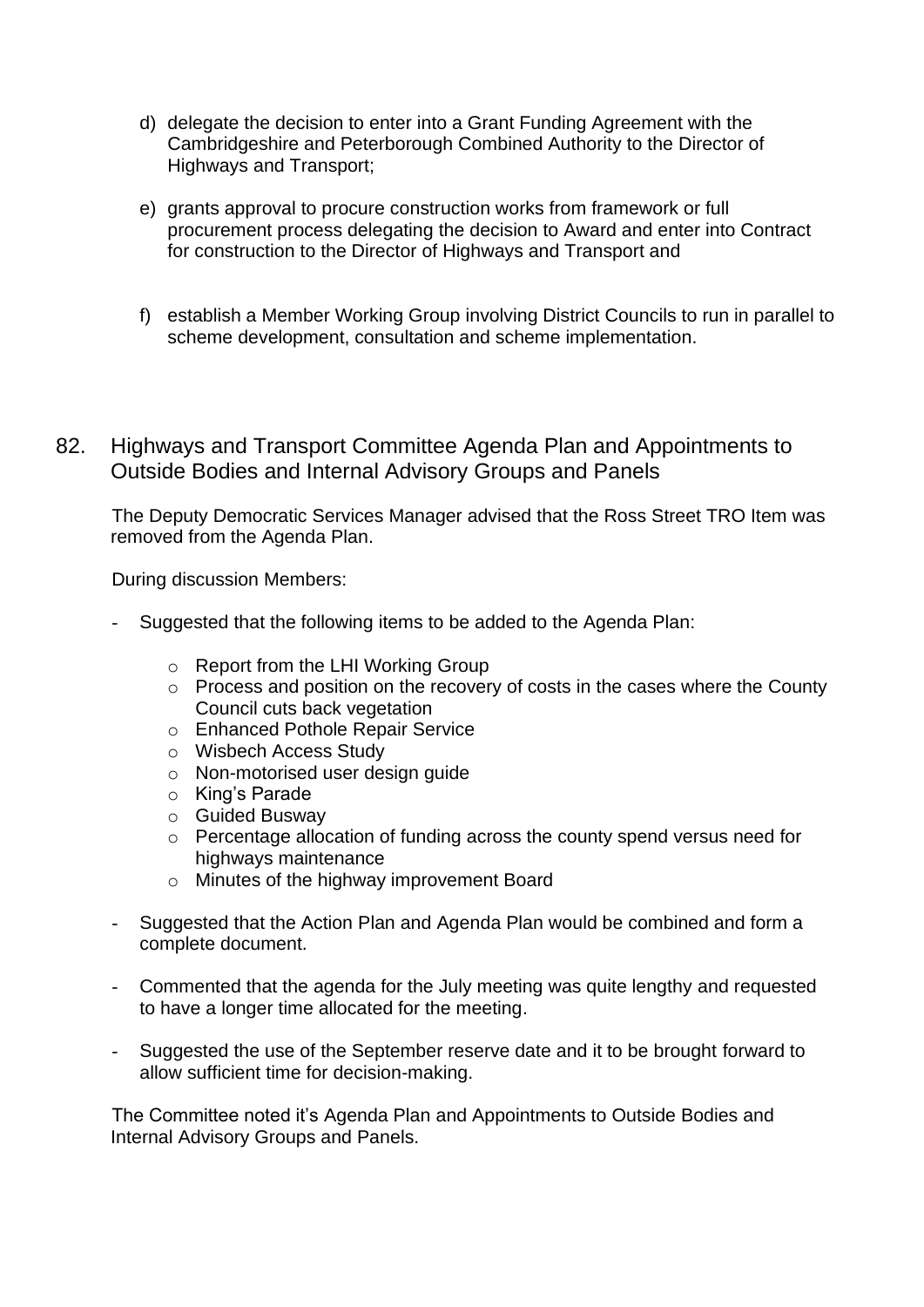- d) delegate the decision to enter into a Grant Funding Agreement with the Cambridgeshire and Peterborough Combined Authority to the Director of Highways and Transport;
- e) grants approval to procure construction works from framework or full procurement process delegating the decision to Award and enter into Contract for construction to the Director of Highways and Transport and
- f) establish a Member Working Group involving District Councils to run in parallel to scheme development, consultation and scheme implementation.
- 82. Highways and Transport Committee Agenda Plan and Appointments to Outside Bodies and Internal Advisory Groups and Panels

The Deputy Democratic Services Manager advised that the Ross Street TRO Item was removed from the Agenda Plan.

During discussion Members:

- Suggested that the following items to be added to the Agenda Plan:
	- o Report from the LHI Working Group
	- o Process and position on the recovery of costs in the cases where the County Council cuts back vegetation
	- o Enhanced Pothole Repair Service
	- o Wisbech Access Study
	- o Non-motorised user design guide
	- o King's Parade
	- o Guided Busway
	- o Percentage allocation of funding across the county spend versus need for highways maintenance
	- o Minutes of the highway improvement Board
- Suggested that the Action Plan and Agenda Plan would be combined and form a complete document.
- Commented that the agenda for the July meeting was quite lengthy and requested to have a longer time allocated for the meeting.
- Suggested the use of the September reserve date and it to be brought forward to allow sufficient time for decision-making.

The Committee noted it's Agenda Plan and Appointments to Outside Bodies and Internal Advisory Groups and Panels.